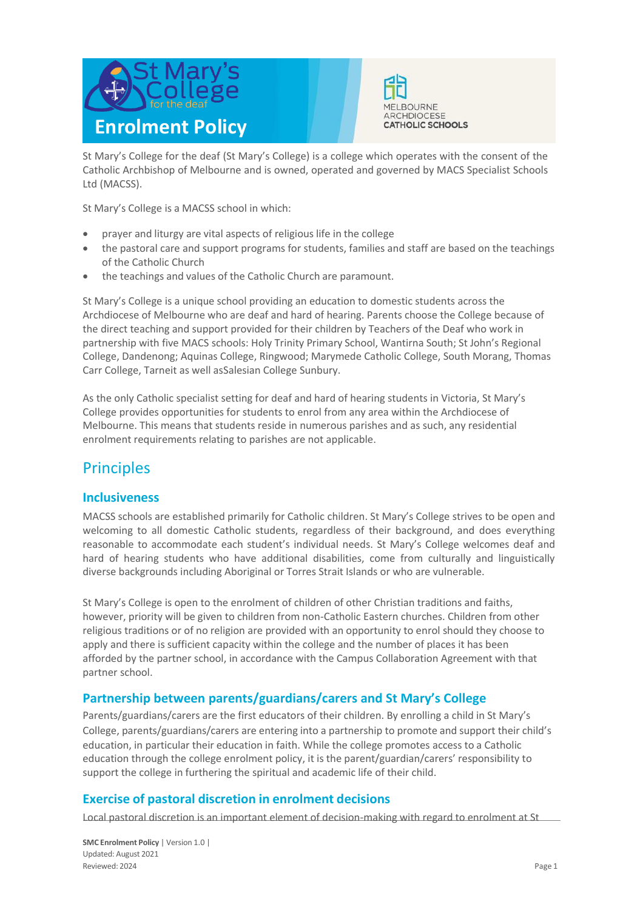



St Mary's College for the deaf (St Mary's College) is a college which operates with the consent of the Catholic Archbishop of Melbourne and is owned, operated and governed by MACS Specialist Schools Ltd (MACSS).

St Mary's College is a MACSS school in which:

- prayer and liturgy are vital aspects of religious life in the college
- the pastoral care and support programs for students, families and staff are based on the teachings of the Catholic Church
- the teachings and values of the Catholic Church are paramount.

St Mary's College is a unique school providing an education to domestic students across the Archdiocese of Melbourne who are deaf and hard of hearing. Parents choose the College because of the direct teaching and support provided for their children by Teachers of the Deaf who work in partnership with five MACS schools: Holy Trinity Primary School, Wantirna South; St John's Regional College, Dandenong; Aquinas College, Ringwood; Marymede Catholic College, South Morang, Thomas Carr College, Tarneit as well asSalesian College Sunbury.

As the only Catholic specialist setting for deaf and hard of hearing students in Victoria, St Mary's College provides opportunities for students to enrol from any area within the Archdiocese of Melbourne. This means that students reside in numerous parishes and as such, any residential enrolment requirements relating to parishes are not applicable.

## **Principles**

### **Inclusiveness**

MACSS schools are established primarily for Catholic children. St Mary's College strives to be open and welcoming to all domestic Catholic students, regardless of their background, and does everything reasonable to accommodate each student's individual needs. St Mary's College welcomes deaf and hard of hearing students who have additional disabilities, come from culturally and linguistically diverse backgrounds including Aboriginal or Torres Strait Islands or who are vulnerable.

St Mary's College is open to the enrolment of children of other Christian traditions and faiths, however, priority will be given to children from non-Catholic Eastern churches. Children from other religious traditions or of no religion are provided with an opportunity to enrol should they choose to apply and there is sufficient capacity within the college and the number of places it has been afforded by the partner school, in accordance with the Campus Collaboration Agreement with that partner school.

### **Partnership between parents/guardians/carers and St Mary's College**

Parents/guardians/carers are the first educators of their children. By enrolling a child in St Mary's College, parents/guardians/carers are entering into a partnership to promote and support their child's education, in particular their education in faith. While the college promotes access to a Catholic education through the college enrolment policy, it is the parent/guardian/carers' responsibility to support the college in furthering the spiritual and academic life of their child.

### **Exercise of pastoral discretion in enrolment decisions**

Local pastoral discretion is an important element of decision-making with regard to enrolment at St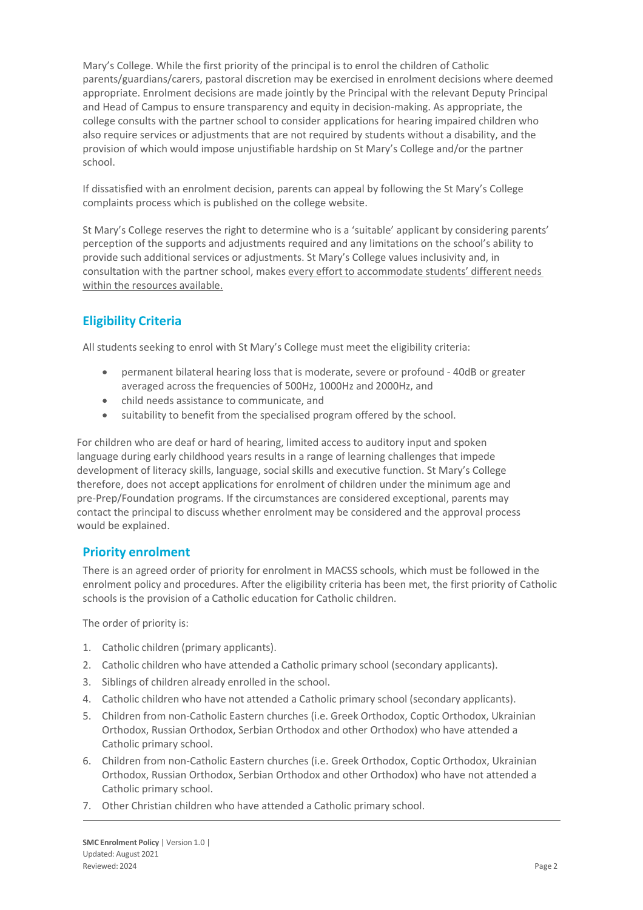Mary's College. While the first priority of the principal is to enrol the children of Catholic parents/guardians/carers, pastoral discretion may be exercised in enrolment decisions where deemed appropriate. Enrolment decisions are made jointly by the Principal with the relevant Deputy Principal and Head of Campus to ensure transparency and equity in decision-making. As appropriate, the college consults with the partner school to consider applications for hearing impaired children who also require services or adjustments that are not required by students without a disability, and the provision of which would impose unjustifiable hardship on St Mary's College and/or the partner school.

If dissatisfied with an enrolment decision, parents can appeal by following the St Mary's College complaints process which is published on the college website.

St Mary's College reserves the right to determine who is a 'suitable' applicant by considering parents' perception of the supports and adjustments required and any limitations on the school's ability to provide such additional services or adjustments. St Mary's College values inclusivity and, in consultation with the partner school, makes every effort to accommodate students' different needs within the resources available.

### **Eligibility Criteria**

All students seeking to enrol with St Mary's College must meet the eligibility criteria:

- permanent bilateral hearing loss that is moderate, severe or profound 40dB or greater averaged across the frequencies of 500Hz, 1000Hz and 2000Hz, and
- child needs assistance to communicate, and
- suitability to benefit from the specialised program offered by the school.

For children who are deaf or hard of hearing, limited access to auditory input and spoken language during early childhood years results in a range of learning challenges that impede development of literacy skills, language, social skills and executive function. St Mary's College therefore, does not accept applications for enrolment of children under the minimum age and pre-Prep/Foundation programs. If the circumstances are considered exceptional, parents may contact the principal to discuss whether enrolment may be considered and the approval process would be explained.

### **Priority enrolment**

There is an agreed order of priority for enrolment in MACSS schools, which must be followed in the enrolment policy and procedures. After the eligibility criteria has been met, the first priority of Catholic schools is the provision of a Catholic education for Catholic children.

The order of priority is:

- 1. Catholic children (primary applicants).
- 2. Catholic children who have attended a Catholic primary school (secondary applicants).
- 3. Siblings of children already enrolled in the school.
- 4. Catholic children who have not attended a Catholic primary school (secondary applicants).
- 5. Children from non-Catholic Eastern churches (i.e. Greek Orthodox, Coptic Orthodox, Ukrainian Orthodox, Russian Orthodox, Serbian Orthodox and other Orthodox) who have attended a Catholic primary school.
- 6. Children from non-Catholic Eastern churches (i.e. Greek Orthodox, Coptic Orthodox, Ukrainian Orthodox, Russian Orthodox, Serbian Orthodox and other Orthodox) who have not attended a Catholic primary school.
- 7. Other Christian children who have attended a Catholic primary school.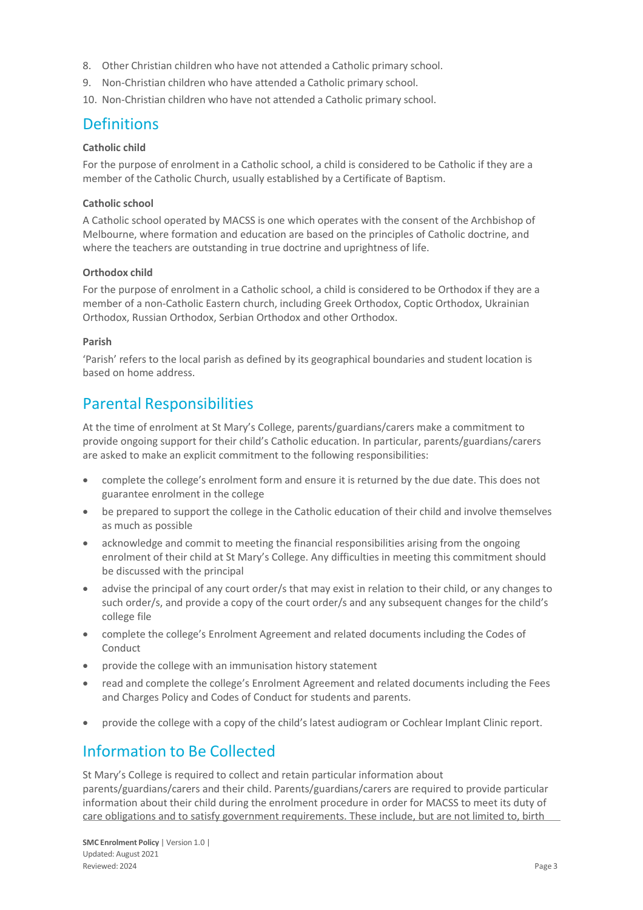- 8. Other Christian children who have not attended a Catholic primary school.
- 9. Non-Christian children who have attended a Catholic primary school.
- 10. Non-Christian children who have not attended a Catholic primary school.

## **Definitions**

#### **Catholic child**

For the purpose of enrolment in a Catholic school, a child is considered to be Catholic if they are a member of the Catholic Church, usually established by a Certificate of Baptism.

#### **Catholic school**

A Catholic school operated by MACSS is one which operates with the consent of the Archbishop of Melbourne, where formation and education are based on the principles of Catholic doctrine, and where the teachers are outstanding in true doctrine and uprightness of life.

#### **Orthodox child**

For the purpose of enrolment in a Catholic school, a child is considered to be Orthodox if they are a member of a non-Catholic Eastern church, including Greek Orthodox, Coptic Orthodox, Ukrainian Orthodox, Russian Orthodox, Serbian Orthodox and other Orthodox.

#### **Parish**

'Parish' refers to the local parish as defined by its geographical boundaries and student location is based on home address.

## Parental Responsibilities

At the time of enrolment at St Mary's College, parents/guardians/carers make a commitment to provide ongoing support for their child's Catholic education. In particular, parents/guardians/carers are asked to make an explicit commitment to the following responsibilities:

- complete the college's enrolment form and ensure it is returned by the due date. This does not guarantee enrolment in the college
- be prepared to support the college in the Catholic education of their child and involve themselves as much as possible
- acknowledge and commit to meeting the financial responsibilities arising from the ongoing enrolment of their child at St Mary's College. Any difficulties in meeting this commitment should be discussed with the principal
- advise the principal of any court order/s that may exist in relation to their child, or any changes to such order/s, and provide a copy of the court order/s and any subsequent changes for the child's college file
- complete the college's Enrolment Agreement and related documents including the Codes of Conduct
- provide the college with an immunisation history statement
- read and complete the college's Enrolment Agreement and related documents including the Fees and Charges Policy and Codes of Conduct for students and parents.
- provide the college with a copy of the child's latest audiogram or Cochlear Implant Clinic report.

## Information to Be Collected

St Mary's College is required to collect and retain particular information about parents/guardians/carers and their child. Parents/guardians/carers are required to provide particular information about their child during the enrolment procedure in order for MACSS to meet its duty of care obligations and to satisfy government requirements. These include, but are not limited to, birth